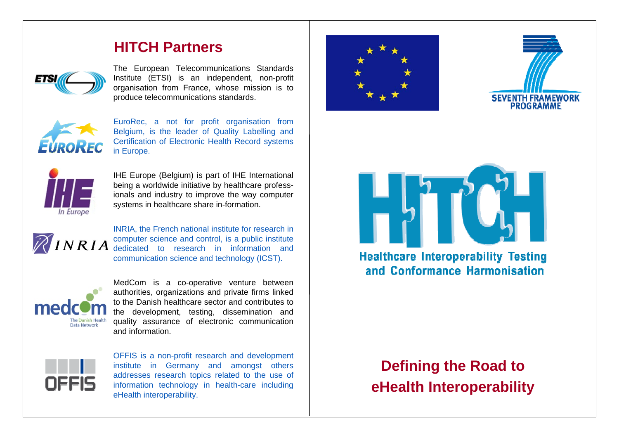### **HITCH Partners**



The European Telecommunications Standards Institute (ETSI) is an independent, non-profit organisation from France, whose mission is to produce telecommunications standards.



EuroRec, a not for profit organisation from Belgium, is the leader of Quality Labelling and Certification of Electronic Health Record systems in Europe.



IHE Europe (Belgium) is part of IHE International being a worldwide initiative by healthcare professionals and industry to improve the way computer systems in healthcare share in-formation.



INRIA, the French national institute for research in computer science and control, is a public institute dedicated to research in information and communication science and technology (ICST).



MedCom is a co-operative venture between authorities, organizations and private firms linked to the Danish healthcare sector and contributes to the development, testing, dissemination and quality assurance of electronic communication and information.



OFFIS is a non-profit research and development institute in Germany and amongst others addresses research topics related to the use of information technology in health-care including eHealth interoperability.







**Healthcare Interoperability Testing** and Conformance Harmonisation

# **Defining the Road to eHealth Interoperability**